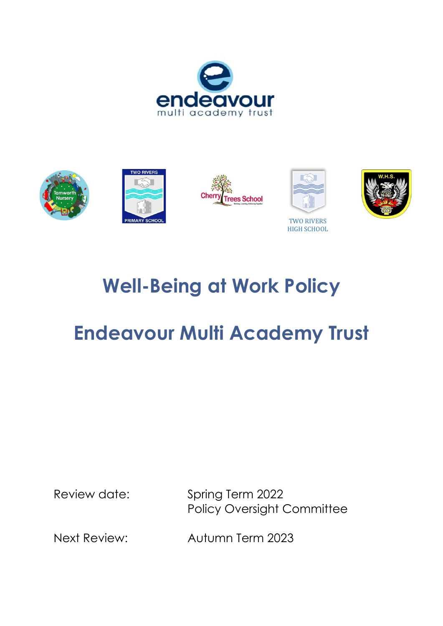









TWO RIVERS HIGH SCHOOL



## **Well-Being at Work Policy**

# **Endeavour Multi Academy Trust**

Review date: Spring Term 2022 Policy Oversight Committee

Next Review: Autumn Term 2023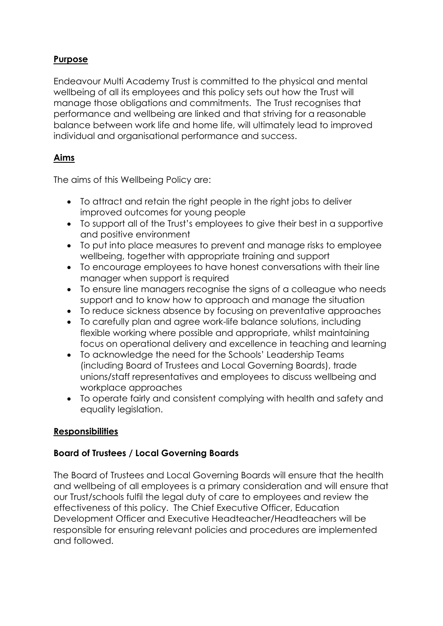### **Purpose**

Endeavour Multi Academy Trust is committed to the physical and mental wellbeing of all its employees and this policy sets out how the Trust will manage those obligations and commitments. The Trust recognises that performance and wellbeing are linked and that striving for a reasonable balance between work life and home life, will ultimately lead to improved individual and organisational performance and success.

## **Aims**

The aims of this Wellbeing Policy are:

- To attract and retain the right people in the right jobs to deliver improved outcomes for young people
- To support all of the Trust's employees to give their best in a supportive and positive environment
- To put into place measures to prevent and manage risks to employee wellbeing, together with appropriate training and support
- To encourage employees to have honest conversations with their line manager when support is required
- To ensure line managers recognise the signs of a colleague who needs support and to know how to approach and manage the situation
- To reduce sickness absence by focusing on preventative approaches
- To carefully plan and agree work-life balance solutions, including flexible working where possible and appropriate, whilst maintaining focus on operational delivery and excellence in teaching and learning
- To acknowledge the need for the Schools' Leadership Teams (including Board of Trustees and Local Governing Boards), trade unions/staff representatives and employees to discuss wellbeing and workplace approaches
- To operate fairly and consistent complying with health and safety and equality legislation.

#### **Responsibilities**

#### **Board of Trustees / Local Governing Boards**

The Board of Trustees and Local Governing Boards will ensure that the health and wellbeing of all employees is a primary consideration and will ensure that our Trust/schools fulfil the legal duty of care to employees and review the effectiveness of this policy. The Chief Executive Officer, Education Development Officer and Executive Headteacher/Headteachers will be responsible for ensuring relevant policies and procedures are implemented and followed.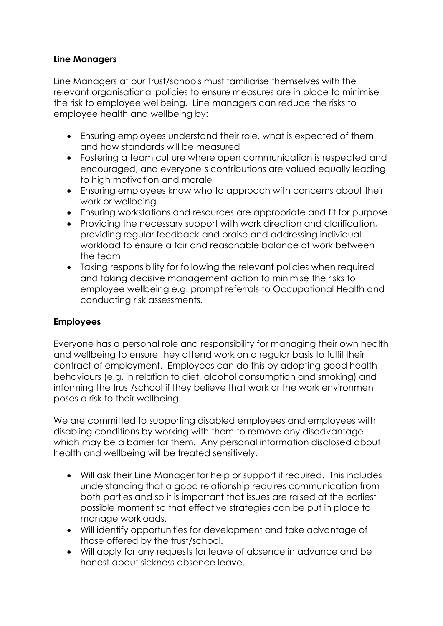### **Line Managers**

Line Managers at our Trust/schools must familiarise themselves with the relevant organisational policies to ensure measures are in place to minimise the risk to employee wellbeing. Line managers can reduce the risks to employee health and wellbeing by:

- Ensuring employees understand their role, what is expected of them and how standards will be measured
- Fostering a team culture where open communication is respected and encouraged, and everyone's contributions are valued equally leading to high motivation and morale
- Ensuring employees know who to approach with concerns about their work or wellbeing
- Ensuring workstations and resources are appropriate and fit for purpose
- Providing the necessary support with work direction and clarification, providing regular feedback and praise and addressing individual workload to ensure a fair and reasonable balance of work between the team
- Taking responsibility for following the relevant policies when required and taking decisive management action to minimise the risks to employee wellbeing e.g. prompt referrals to Occupational Health and conducting risk assessments.

## **Employees**

Everyone has a personal role and responsibility for managing their own health and wellbeing to ensure they attend work on a regular basis to fulfil their contract of employment. Employees can do this by adopting good health behaviours (e.g. in relation to diet, alcohol consumption and smoking) and informing the trust/school if they believe that work or the work environment poses a risk to their wellbeing.

We are committed to supporting disabled employees and employees with disabling conditions by working with them to remove any disadvantage which may be a barrier for them. Any personal information disclosed about health and wellbeing will be treated sensitively.

- Will ask their Line Manager for help or support if required. This includes understanding that a good relationship requires communication from both parties and so it is important that issues are raised at the earliest possible moment so that effective strategies can be put in place to manage workloads.
- Will identify opportunities for development and take advantage of those offered by the trust/school.
- Will apply for any requests for leave of absence in advance and be honest about sickness absence leave.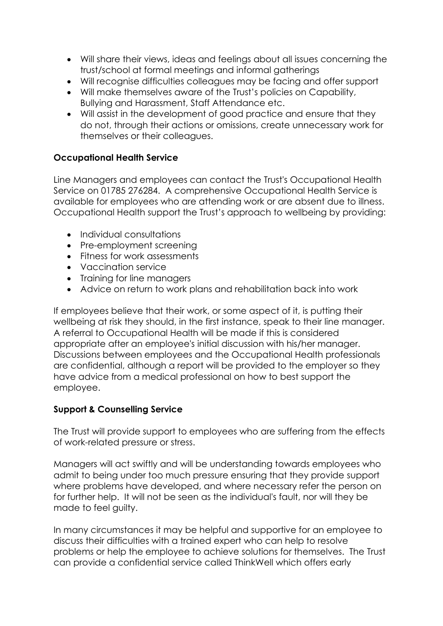- Will share their views, ideas and feelings about all issues concerning the trust/school at formal meetings and informal gatherings
- Will recognise difficulties colleagues may be facing and offer support
- Will make themselves aware of the Trust's policies on Capability, Bullying and Harassment, Staff Attendance etc.
- Will assist in the development of good practice and ensure that they do not, through their actions or omissions, create unnecessary work for themselves or their colleagues.

### **Occupational Health Service**

Line Managers and employees can contact the Trust's Occupational Health Service on 01785 276284. A comprehensive Occupational Health Service is available for employees who are attending work or are absent due to illness. Occupational Health support the Trust's approach to wellbeing by providing:

- Individual consultations
- Pre-employment screening
- Fitness for work assessments
- Vaccination service
- Training for line managers
- Advice on return to work plans and rehabilitation back into work

If employees believe that their work, or some aspect of it, is putting their wellbeing at risk they should, in the first instance, speak to their line manager. A referral to Occupational Health will be made if this is considered appropriate after an employee's initial discussion with his/her manager. Discussions between employees and the Occupational Health professionals are confidential, although a report will be provided to the employer so they have advice from a medical professional on how to best support the employee.

#### **Support & Counselling Service**

The Trust will provide support to employees who are suffering from the effects of work-related pressure or stress.

Managers will act swiftly and will be understanding towards employees who admit to being under too much pressure ensuring that they provide support where problems have developed, and where necessary refer the person on for further help. It will not be seen as the individual's fault, nor will they be made to feel guilty.

In many circumstances it may be helpful and supportive for an employee to discuss their difficulties with a trained expert who can help to resolve problems or help the employee to achieve solutions for themselves. The Trust can provide a confidential service called ThinkWell which offers early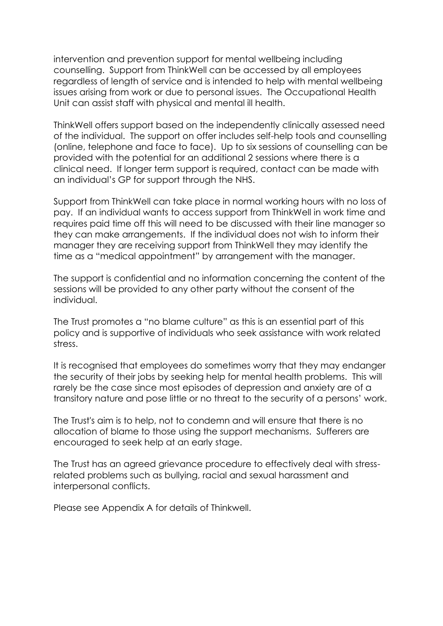intervention and prevention support for mental wellbeing including counselling. Support from ThinkWell can be accessed by all employees regardless of length of service and is intended to help with mental wellbeing issues arising from work or due to personal issues. The Occupational Health Unit can assist staff with physical and mental ill health.

ThinkWell offers support based on the independently clinically assessed need of the individual. The support on offer includes self-help tools and counselling (online, telephone and face to face). Up to six sessions of counselling can be provided with the potential for an additional 2 sessions where there is a clinical need. If longer term support is required, contact can be made with an individual's GP for support through the NHS.

Support from ThinkWell can take place in normal working hours with no loss of pay. If an individual wants to access support from ThinkWell in work time and requires paid time off this will need to be discussed with their line manager so they can make arrangements. If the individual does not wish to inform their manager they are receiving support from ThinkWell they may identify the time as a "medical appointment" by arrangement with the manager.

The support is confidential and no information concerning the content of the sessions will be provided to any other party without the consent of the individual.

The Trust promotes a "no blame culture" as this is an essential part of this policy and is supportive of individuals who seek assistance with work related stress.

It is recognised that employees do sometimes worry that they may endanger the security of their jobs by seeking help for mental health problems. This will rarely be the case since most episodes of depression and anxiety are of a transitory nature and pose little or no threat to the security of a persons' work.

The Trust's aim is to help, not to condemn and will ensure that there is no allocation of blame to those using the support mechanisms. Sufferers are encouraged to seek help at an early stage.

The Trust has an agreed grievance procedure to effectively deal with stressrelated problems such as bullying, racial and sexual harassment and interpersonal conflicts.

Please see Appendix A for details of Thinkwell.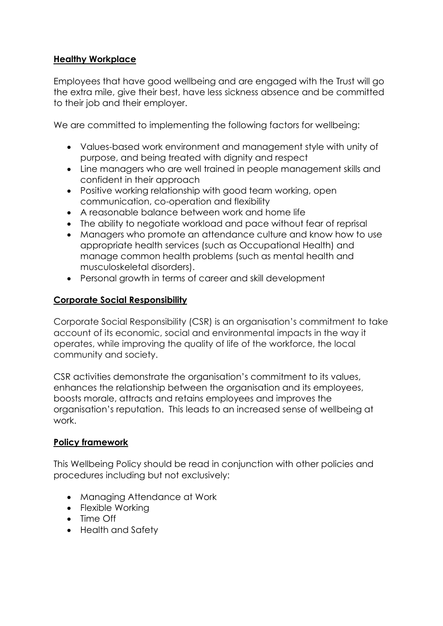#### **Healthy Workplace**

Employees that have good wellbeing and are engaged with the Trust will go the extra mile, give their best, have less sickness absence and be committed to their job and their employer.

We are committed to implementing the following factors for wellbeing:

- Values-based work environment and management style with unity of purpose, and being treated with dignity and respect
- Line managers who are well trained in people management skills and confident in their approach
- Positive working relationship with good team working, open communication, co-operation and flexibility
- A reasonable balance between work and home life
- The ability to negotiate workload and pace without fear of reprisal
- Managers who promote an attendance culture and know how to use appropriate health services (such as Occupational Health) and manage common health problems (such as mental health and musculoskeletal disorders).
- Personal growth in terms of career and skill development

### **Corporate Social Responsibility**

Corporate Social Responsibility (CSR) is an organisation's commitment to take account of its economic, social and environmental impacts in the way it operates, while improving the quality of life of the workforce, the local community and society.

CSR activities demonstrate the organisation's commitment to its values, enhances the relationship between the organisation and its employees, boosts morale, attracts and retains employees and improves the organisation's reputation. This leads to an increased sense of wellbeing at work.

#### **Policy framework**

This Wellbeing Policy should be read in conjunction with other policies and procedures including but not exclusively:

- Managing Attendance at Work
- Flexible Working
- Time Off
- Health and Safety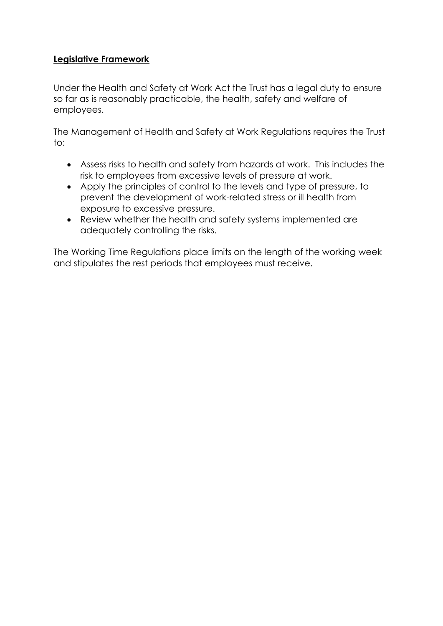#### **Legislative Framework**

Under the Health and Safety at Work Act the Trust has a legal duty to ensure so far as is reasonably practicable, the health, safety and welfare of employees.

The Management of Health and Safety at Work Regulations requires the Trust to:

- Assess risks to health and safety from hazards at work. This includes the risk to employees from excessive levels of pressure at work.
- Apply the principles of control to the levels and type of pressure, to prevent the development of work-related stress or ill health from exposure to excessive pressure.
- Review whether the health and safety systems implemented are adequately controlling the risks.

The Working Time Regulations place limits on the length of the working week and stipulates the rest periods that employees must receive.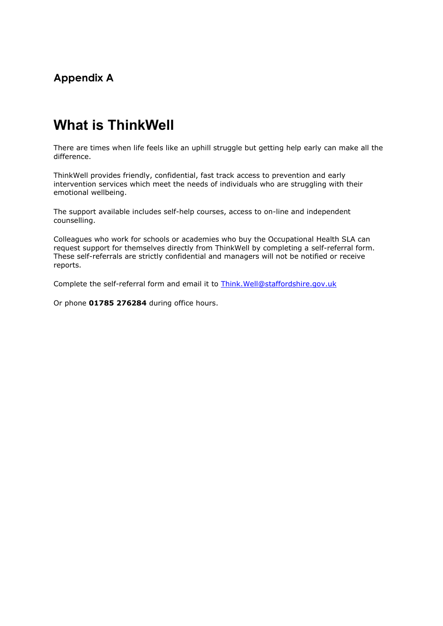## **Appendix A**

## **What is ThinkWell**

There are times when life feels like an uphill struggle but getting help early can make all the difference.

ThinkWell provides friendly, confidential, fast track access to prevention and early intervention services which meet the needs of individuals who are struggling with their emotional wellbeing.

The support available includes self-help courses, access to on-line and independent counselling.

Colleagues who work for schools or academies who buy the Occupational Health SLA can request support for themselves directly from ThinkWell by completing a self-referral form. These self-referrals are strictly confidential and managers will not be notified or receive reports.

Complete the self-referral form and email it to [Think.Well@staffordshire.gov.uk](mailto:think.well@staffordshire.gov.uk)

Or phone **01785 276284** during office hours.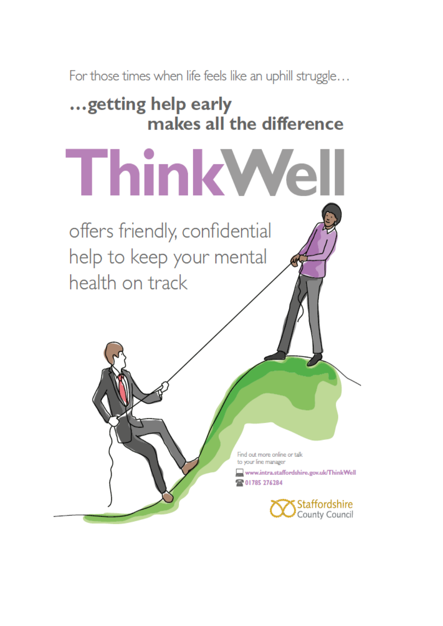For those times when life feels like an uphill struggle...

## ... getting help early makes all the difference

ThinkWell

offers friendly, confidential help to keep your mental health on track

> Find out more online or talk to vour line manager

www.intra.staffordshire.gov.uk/ThinkWell 28 01785 276284